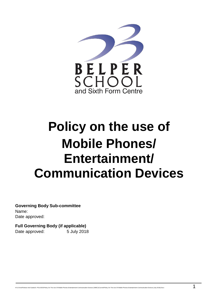

# **Policy on the use of Mobile Phones/ Entertainment/ Communication Devices**

**Governing Body Sub-committee** Name: Date approved:

**Full Governing Body (if applicable)** Date approved: 5 July 2018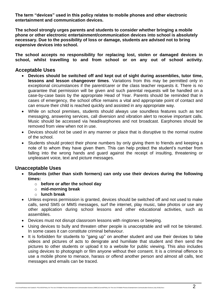**The term "devices" used in this policy relates to mobile phones and other electronic entertainment and communication devices.**

**The school strongly urges parents and students to consider whether bringing a mobile phone or other electronic entertainment/communication devices into school is absolutely necessary. Due to the possibility of loss or damage, students are advised not to bring expensive devices into school.** 

**The school accepts no responsibility for replacing lost, stolen or damaged devices in school, whilst travelling to and from school or on any out of school activity.** 

### **Acceptable Uses**

- **Devices should be switched off and kept out of sight during assemblies, tutor time, lessons and lesson changeover times**. Variations from this may be permitted only in exceptional circumstances if the parent/carer or the class teacher requests it. There is no guarantee that permission will be given and such parental requests will be handled on a case-by-case basis by the appropriate Head of Year. Parents should be reminded that in cases of emergency, the school office remains a vital and appropriate point of contact and can ensure their child is reached quickly and assisted in any appropriate way.
- While on school premises, students should always use soundless features such as text messaging, answering services, call diversion and vibration alert to receive important calls. Music should be accessed via head/earphones and not broadcast. Earphones should be removed from view when not in use.
- Devices should not be used in any manner or place that is disruptive to the normal routine of the school.
- Students should protect their phone numbers by only giving them to friends and keeping a note of to whom they have given them. This can help protect the student's number from falling into the wrong hands and guard against the receipt of insulting, threatening or unpleasant voice, text and picture messages.

#### **Unacceptable Uses**

- **Students (other than sixth formers) can only use their devices during the following times:** 
	- o **before or after the school day**
	- o **mid-morning break**
	- o **lunch break**
- Unless express permission is granted, devices should be switched off and not used to make calls, send SMS or MMS messages, surf the internet, play music, take photos or use any other application during school lessons and other educational activities, such as assemblies.
- Devices must not disrupt classroom lessons with ringtones or beeping.
- Using devices to bully and threaten other people is unacceptable and will not be tolerated. In some cases it can constitute criminal behaviour.
- It is forbidden for students to "gang up" on another student and use their devices to take videos and pictures of acts to denigrate and humiliate that student and then send the pictures to other students or upload it to a website for public viewing. This also includes using devices to photograph or film anyone without their consent. It is a criminal offence to use a mobile phone to menace, harass or offend another person and almost all calls, text messages and emails can be traced.